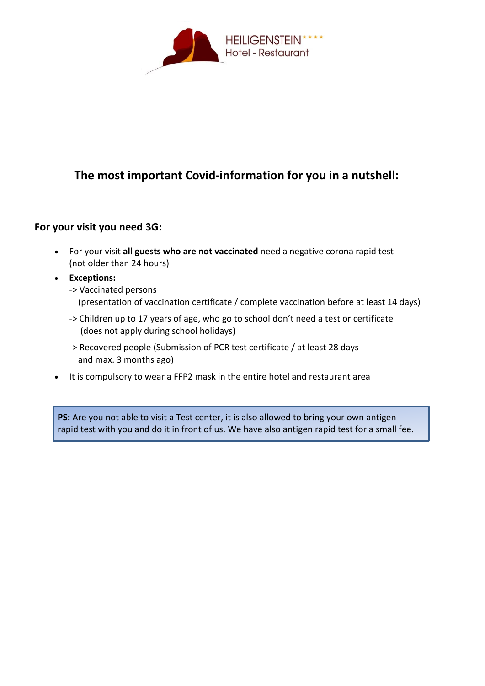

## **The most important Covid-information for you in a nutshell:**

## **For your visit you need 3G:**

- For your visit **all guests who are not vaccinated** need a negative corona rapid test (not older than 24 hours)
- **Exceptions:**
	- -> Vaccinated persons (presentation of vaccination certificate / complete vaccination before at least 14 days)
	- -> Children up to 17 years of age, who go to school don't need a test or certificate (does not apply during school holidays)
	- -> Recovered people (Submission of PCR test certificate / at least 28 days and max. 3 months ago)
- It is compulsory to wear a FFP2 mask in the entire hotel and restaurant area

**PS:** Are you not able to visit a Test center, it is also allowed to bring your own antigen rapid test with you and do it in front of us. We have also antigen rapid test for a small fee.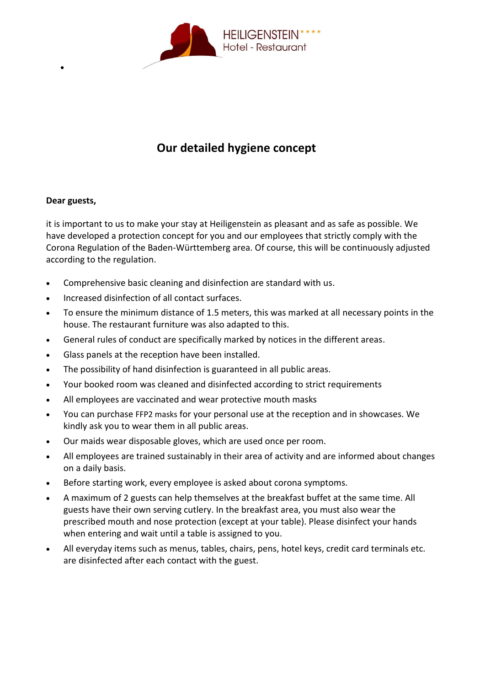

## **Our detailed hygiene concept**

## **Dear guests,**

•

it is important to us to make your stay at Heiligenstein as pleasant and as safe as possible. We have developed a protection concept for you and our employees that strictly comply with the Corona Regulation of the Baden-Württemberg area. Of course, this will be continuously adjusted according to the regulation.

- Comprehensive basic cleaning and disinfection are standard with us.
- Increased disinfection of all contact surfaces.
- To ensure the minimum distance of 1.5 meters, this was marked at all necessary points in the house. The restaurant furniture was also adapted to this.
- General rules of conduct are specifically marked by notices in the different areas.
- Glass panels at the reception have been installed.
- The possibility of hand disinfection is guaranteed in all public areas.
- Your booked room was cleaned and disinfected according to strict requirements
- All employees are vaccinated and wear protective mouth masks
- You can purchase FFP2 masks for your personal use at the reception and in showcases. We kindly ask you to wear them in all public areas.
- Our maids wear disposable gloves, which are used once per room.
- All employees are trained sustainably in their area of activity and are informed about changes on a daily basis.
- Before starting work, every employee is asked about corona symptoms.
- A maximum of 2 guests can help themselves at the breakfast buffet at the same time. All guests have their own serving cutlery. In the breakfast area, you must also wear the prescribed mouth and nose protection (except at your table). Please disinfect your hands when entering and wait until a table is assigned to you.
- All everyday items such as menus, tables, chairs, pens, hotel keys, credit card terminals etc. are disinfected after each contact with the guest.